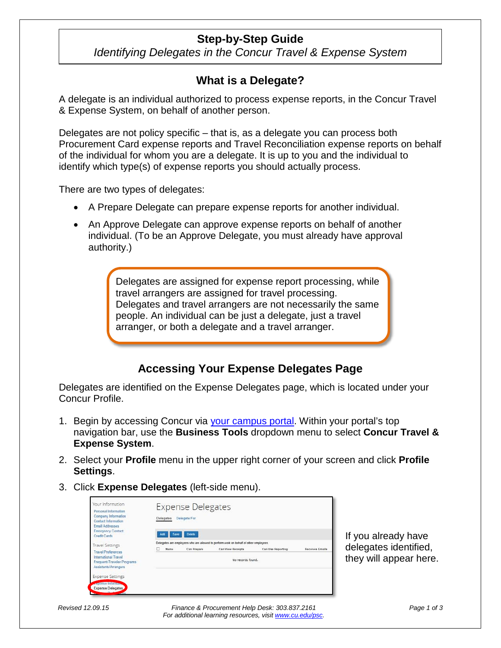## **Step-by-Step Guide**

*Identifying Delegates in the Concur Travel & Expense System*

## **What is a Delegate?**

A delegate is an individual authorized to process expense reports, in the Concur Travel & Expense System, on behalf of another person.

Delegates are not policy specific – that is, as a delegate you can process both Procurement Card expense reports and Travel Reconciliation expense reports on behalf of the individual for whom you are a delegate. It is up to you and the individual to identify which type(s) of expense reports you should actually process.

There are two types of delegates:

- A Prepare Delegate can prepare expense reports for another individual.
- An Approve Delegate can approve expense reports on behalf of another individual. (To be an Approve Delegate, you must already have approval authority.)

Delegates are assigned for expense report processing, while travel arrangers are assigned for travel processing. Delegates and travel arrangers are not necessarily the same people. An individual can be just a delegate, just a travel arranger, or both a delegate and a travel arranger.

## **Accessing Your Expense Delegates Page**

Delegates are identified on the Expense Delegates page, which is located under your Concur Profile.

- 1. Begin by accessing Concur via your campus portal. Within your portal's top navigation bar, use the **Business Tools** dropdown menu to select **Concur Travel & Expense System**.
- 2. Select your **Profile** menu in the upper right corner of your screen and click **Profile Settings**.
- 3. Click **Expense Delegates** (left-side menu).

| Your Information<br>Personal Information<br>Company Information<br><b>Contact Information</b><br><b>Email Addresses</b><br><b>Emergency Contact</b> | <b>Expense Delegates</b><br>Delegate For<br>Delegates                                                        |      |        |                                                                                       |  |  |
|-----------------------------------------------------------------------------------------------------------------------------------------------------|--------------------------------------------------------------------------------------------------------------|------|--------|---------------------------------------------------------------------------------------|--|--|
| <b>Credit Cards</b>                                                                                                                                 | Add                                                                                                          | Save | Deinte |                                                                                       |  |  |
| <b>Travel Settings</b>                                                                                                                              |                                                                                                              |      |        | Delegates are employees who are allowed to perform work on behalf of other employees. |  |  |
| <b>Travel Preferences</b><br><b>International Travel</b><br>Frequent-Traveler Programs<br>Assistants/Arrangers                                      | <b>Receives Emails</b><br>Can Prepare<br>Can View Receipts<br>Can Use Reporting<br>Name<br>No records found. |      |        |                                                                                       |  |  |
| <b>Expense Settings</b>                                                                                                                             |                                                                                                              |      |        |                                                                                       |  |  |
| <b>ACCESS INCHES</b>                                                                                                                                |                                                                                                              |      |        |                                                                                       |  |  |
| Expense Delegates                                                                                                                                   |                                                                                                              |      |        |                                                                                       |  |  |

If you already have delegates identified, they will appear here.

*Revised 12.09.15 Finance & Procurement Help Desk: 303.837.2161 For additional learning resources, visit www.cu.edu/psc.*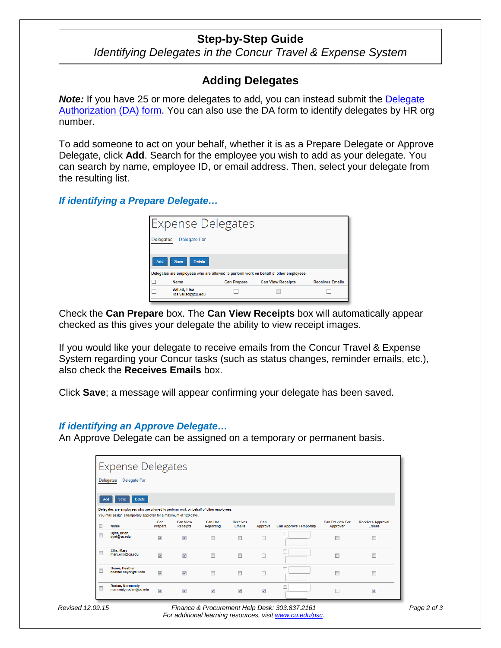## **Step-by-Step Guide**

*Identifying Delegates in the Concur Travel & Expense System*

# **Adding Delegates**

**Note:** If you have 25 or more delegates to add, you can instead submit the Delegate Authorization (DA) form. You can also use the DA form to identify delegates by HR org number.

To add someone to act on your behalf, whether it is as a Prepare Delegate or Approve Delegate, click **Add**. Search for the employee you wish to add as your delegate. You can search by name, employee ID, or email address. Then, select your delegate from the resulting list.

*If identifying a Prepare Delegate…*

| <b>Expense Delegates</b>                                                              |                    |                          |                        |  |  |
|---------------------------------------------------------------------------------------|--------------------|--------------------------|------------------------|--|--|
| <b>Delegates</b><br><b>Delegate For</b>                                               |                    |                          |                        |  |  |
| Add<br><b>Delete</b><br><b>Save</b>                                                   |                    |                          |                        |  |  |
| Delegates are employees who are allowed to perform work on behalf of other employees. |                    |                          |                        |  |  |
| <b>Name</b>                                                                           | <b>Can Prepare</b> | <b>Can View Receipts</b> | <b>Receives Emails</b> |  |  |
| <b>Vallad, Lisa</b><br>lisa.vallad@cu.edu                                             |                    |                          |                        |  |  |

Check the **Can Prepare** box. The **Can View Receipts** box will automatically appear checked as this gives your delegate the ability to view receipt images.

If you would like your delegate to receive emails from the Concur Travel & Expense System regarding your Concur tasks (such as status changes, reminder emails, etc.), also check the **Receives Emails** box.

Click **Save**; a message will appear confirming your delegate has been saved.

#### *If identifying an Approve Delegate…*

An Approve Delegate can be assigned on a temporary or permanent basis.

| <b>Expense Delegates</b>                |                                                                                                                       |                         |                                    |                                    |                                        |                         |                              |                                           |                                           |
|-----------------------------------------|-----------------------------------------------------------------------------------------------------------------------|-------------------------|------------------------------------|------------------------------------|----------------------------------------|-------------------------|------------------------------|-------------------------------------------|-------------------------------------------|
| <b>Delegates</b><br><b>Delegate For</b> |                                                                                                                       |                         |                                    |                                    |                                        |                         |                              |                                           |                                           |
|                                         | <b>Delete</b><br>Add<br>Save<br>Delegates are employees who are allowed to perform work on behalf of other employees. |                         |                                    |                                    |                                        |                         |                              |                                           |                                           |
| $\Box$                                  | You may assign a temporary approver for a maximum of 120 days.<br>Name                                                | Can<br>Prepare          | <b>Can View</b><br><b>Receipts</b> | <b>Can Use</b><br><b>Reporting</b> | <b>Receives</b><br><b>Emails</b>       | Can<br><b>Approve</b>   | <b>Can Approve Temporary</b> | <b>Can Preview For</b><br><b>Approver</b> | <b>Receives Approval</b><br><b>Emails</b> |
|                                         | <b>Dvet, Brian</b><br>dyet@cu.edu                                                                                     | $\overline{\mathsf{v}}$ | $\overline{\mathsf{v}}$            | $\blacksquare$                     | $\Box$                                 |                         |                              | $\Box$                                    | F                                         |
| Π                                       | Ellis, Mary<br>mary.ellis@cu.edu                                                                                      | $\overline{\mathsf{v}}$ | $\overline{\mathbf{v}}$            |                                    | $\Box$                                 | П                       |                              | $\Box$                                    | E                                         |
| Г                                       | <b>Hover, Heather</b><br>heather.hover@cu.edu                                                                         | $\overline{\mathsf{v}}$ | $\overline{\mathsf{v}}$            | $\Box$                             | $\begin{array}{c} \square \end{array}$ |                         |                              | $\Box$                                    |                                           |
|                                         | Roden, Normandy<br>normandy.roden@cu.edu                                                                              | $\overline{\mathsf{v}}$ | $\triangledown$                    | $\overline{\mathsf{v}}$            | $\overline{\mathbf{v}}$                | $\overline{\mathsf{v}}$ | C                            |                                           | $\overline{\mathsf{v}}$                   |

*Revised 12.09.15 Finance & Procurement Help Desk: 303.837.2161 For additional learning resources, visit www.cu.edu/psc.*